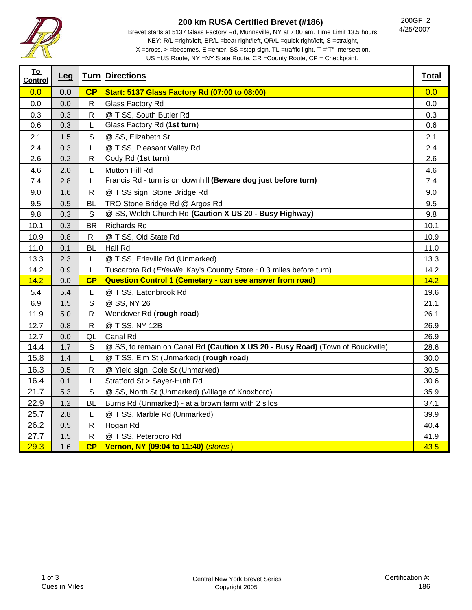

## **200 km RUSA Certified Brevet (#186)**

Brevet starts at 5137 Glass Factory Rd, Munnsville, NY at 7:00 am. Time Limit 13.5 hours. KEY: R/L =right/left, BR/L =bear right/left, QR/L =quick right/left, S =straight, X =cross, > =becomes, E =enter, SS =stop sign, TL =traffic light, T ="T" Intersection,

200GF\_2 4/25/2007

US =US Route, NY =NY State Route, CR =County Route, CP = Checkpoint.

| <u>To</u><br>Control | Leg |              | <b>Turn Directions</b>                                                         | <b>Total</b> |
|----------------------|-----|--------------|--------------------------------------------------------------------------------|--------------|
| 0.0                  | 0.0 | CP           | <b>Start: 5137 Glass Factory Rd (07:00 to 08:00)</b>                           | 0.0          |
| 0.0                  | 0.0 | ${\sf R}$    | Glass Factory Rd                                                               | 0.0          |
| 0.3                  | 0.3 | $\mathsf{R}$ | @ T SS, South Butler Rd                                                        | 0.3          |
| 0.6                  | 0.3 | L            | Glass Factory Rd (1st turn)                                                    | 0.6          |
| 2.1                  | 1.5 | S            | @ SS, Elizabeth St                                                             | 2.1          |
| 2.4                  | 0.3 | L            | @ T SS, Pleasant Valley Rd                                                     | 2.4          |
| 2.6                  | 0.2 | $\mathsf{R}$ | Cody Rd (1st turn)                                                             | 2.6          |
| 4.6                  | 2.0 | L            | Mutton Hill Rd                                                                 | 4.6          |
| 7.4                  | 2.8 | L            | Francis Rd - turn is on downhill (Beware dog just before turn)                 | 7.4          |
| 9.0                  | 1.6 | $\mathsf{R}$ | @ T SS sign, Stone Bridge Rd                                                   | 9.0          |
| 9.5                  | 0.5 | <b>BL</b>    | TRO Stone Bridge Rd @ Argos Rd                                                 | 9.5          |
| 9.8                  | 0.3 | S            | @ SS, Welch Church Rd (Caution X US 20 - Busy Highway)                         | 9.8          |
| 10.1                 | 0.3 | <b>BR</b>    | <b>Richards Rd</b>                                                             | 10.1         |
| 10.9                 | 0.8 | R            | @ T SS, Old State Rd                                                           | 10.9         |
| 11.0                 | 0.1 | <b>BL</b>    | Hall Rd                                                                        | 11.0         |
| 13.3                 | 2.3 | L            | @ T SS, Erieville Rd (Unmarked)                                                | 13.3         |
| 14.2                 | 0.9 | L            | Tuscarora Rd (Erieville Kay's Country Store ~0.3 miles before turn)            | 14.2         |
| 14.2                 | 0.0 | CP           | <b>Question Control 1 (Cemetary - can see answer from road)</b>                | 14.2         |
| 5.4                  | 5.4 | L            | @ T SS, Eatonbrook Rd                                                          | 19.6         |
| 6.9                  | 1.5 | S            | @ SS, NY 26                                                                    | 21.1         |
| 11.9                 | 5.0 | $\mathsf{R}$ | Wendover Rd (rough road)                                                       | 26.1         |
| 12.7                 | 0.8 | R            | @ T SS, NY 12B                                                                 | 26.9         |
| 12.7                 | 0.0 | QL           | Canal Rd                                                                       | 26.9         |
| 14.4                 | 1.7 | S            | @ SS, to remain on Canal Rd (Caution X US 20 - Busy Road) (Town of Bouckville) | 28.6         |
| 15.8                 | 1.4 | L            | @ T SS, Elm St (Unmarked) (rough road)                                         | 30.0         |
| 16.3                 | 0.5 | R            | @ Yield sign, Cole St (Unmarked)                                               | 30.5         |
| 16.4                 | 0.1 | L            | Stratford St > Sayer-Huth Rd                                                   | 30.6         |
| 21.7                 | 5.3 | S            | @ SS, North St (Unmarked) (Village of Knoxboro)                                | 35.9         |
| 22.9                 | 1.2 | <b>BL</b>    | Burns Rd (Unmarked) - at a brown farm with 2 silos                             | 37.1         |
| 25.7                 | 2.8 | L            | @ T SS, Marble Rd (Unmarked)                                                   | 39.9         |
| 26.2                 | 0.5 | $\mathsf{R}$ | Hogan Rd                                                                       | 40.4         |
| 27.7                 | 1.5 | R            | @ T SS, Peterboro Rd                                                           | 41.9         |
| 29.3                 | 1.6 | CP           | Vernon, NY (09:04 to 11:40) (stores)                                           | 43.5         |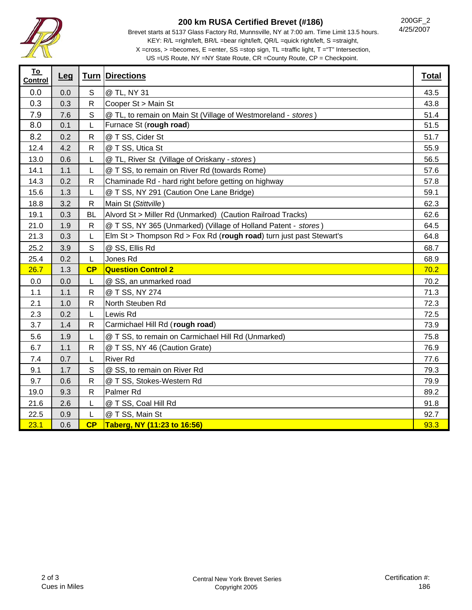

## **200 km RUSA Certified Brevet (#186)**

Brevet starts at 5137 Glass Factory Rd, Munnsville, NY at 7:00 am. Time Limit 13.5 hours. KEY: R/L =right/left, BR/L =bear right/left, QR/L =quick right/left, S =straight, X =cross, > =becomes, E =enter, SS =stop sign, TL =traffic light, T ="T" Intersection,

US =US Route, NY =NY State Route, CR =County Route, CP = Checkpoint.

| <u>To</u><br><b>Control</b> | Leg |              | <b>Turn Directions</b>                                              | <b>Total</b> |
|-----------------------------|-----|--------------|---------------------------------------------------------------------|--------------|
| 0.0                         | 0.0 | $\mathbb S$  | @ TL, NY 31                                                         | 43.5         |
| 0.3                         | 0.3 | $\mathsf R$  | Cooper St > Main St                                                 | 43.8         |
| 7.9                         | 7.6 | $\mathsf S$  | @ TL, to remain on Main St (Village of Westmoreland - stores)       | 51.4         |
| 8.0                         | 0.1 | L            | Furnace St (rough road)                                             | 51.5         |
| 8.2                         | 0.2 | ${\sf R}$    | @ T SS, Cider St                                                    | 51.7         |
| 12.4                        | 4.2 | $\mathsf{R}$ | @ T SS, Utica St                                                    | 55.9         |
| 13.0                        | 0.6 | L            | @ TL, River St (Village of Oriskany - stores)                       | 56.5         |
| 14.1                        | 1.1 | L            | @ T SS, to remain on River Rd (towards Rome)                        | 57.6         |
| 14.3                        | 0.2 | $\mathsf R$  | Chaminade Rd - hard right before getting on highway                 | 57.8         |
| 15.6                        | 1.3 | L            | @ T SS, NY 291 (Caution One Lane Bridge)                            | 59.1         |
| 18.8                        | 3.2 | $\mathsf{R}$ | Main St (Stittville)                                                | 62.3         |
| 19.1                        | 0.3 | <b>BL</b>    | Alvord St > Miller Rd (Unmarked) (Caution Railroad Tracks)          | 62.6         |
| 21.0                        | 1.9 | R            | @ T SS, NY 365 (Unmarked) (Village of Holland Patent - stores)      | 64.5         |
| 21.3                        | 0.3 | L            | Elm St > Thompson Rd > Fox Rd (rough road) turn just past Stewart's | 64.8         |
| 25.2                        | 3.9 | S            | @ SS, Ellis Rd                                                      | 68.7         |
| 25.4                        | 0.2 | L            | Jones Rd                                                            | 68.9         |
| 26.7                        | 1.3 | CP           | <b>Question Control 2</b>                                           | 70.2         |
| 0.0                         | 0.0 | L            | @ SS, an unmarked road                                              | 70.2         |
| 1.1                         | 1.1 | $\mathsf{R}$ | @ T SS, NY 274                                                      | 71.3         |
| 2.1                         | 1.0 | $\mathsf R$  | North Steuben Rd                                                    | 72.3         |
| 2.3                         | 0.2 | L            | Lewis Rd                                                            | 72.5         |
| 3.7                         | 1.4 | $\mathsf R$  | Carmichael Hill Rd (rough road)                                     | 73.9         |
| 5.6                         | 1.9 | L            | @ T SS, to remain on Carmichael Hill Rd (Unmarked)                  | 75.8         |
| 6.7                         | 1.1 | $\mathsf{R}$ | @ T SS, NY 46 (Caution Grate)                                       | 76.9         |
| 7.4                         | 0.7 | L            | <b>River Rd</b>                                                     | 77.6         |
| 9.1                         | 1.7 | $\mathbb S$  | @ SS, to remain on River Rd                                         | 79.3         |
| 9.7                         | 0.6 | $\mathsf{R}$ | @ T SS, Stokes-Western Rd                                           | 79.9         |
| 19.0                        | 9.3 | ${\sf R}$    | Palmer <sub>Rd</sub>                                                | 89.2         |
| 21.6                        | 2.6 | L            | @ T SS, Coal Hill Rd                                                | 91.8         |
| 22.5                        | 0.9 | L            | @ T SS, Main St                                                     | 92.7         |
| 23.1                        | 0.6 | CP           | Taberg, NY (11:23 to 16:56)                                         | 93.3         |